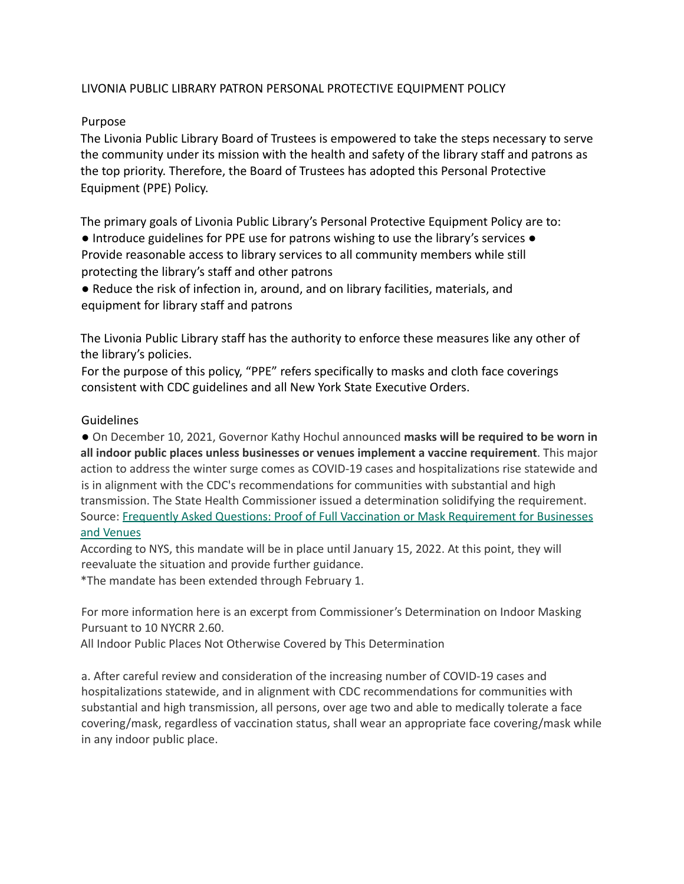## LIVONIA PUBLIC LIBRARY PATRON PERSONAL PROTECTIVE EQUIPMENT POLICY

## Purpose

The Livonia Public Library Board of Trustees is empowered to take the steps necessary to serve the community under its mission with the health and safety of the library staff and patrons as the top priority. Therefore, the Board of Trustees has adopted this Personal Protective Equipment (PPE) Policy.

The primary goals of Livonia Public Library's Personal Protective Equipment Policy are to:

● Introduce guidelines for PPE use for patrons wishing to use the library's services ● Provide reasonable access to library services to all community members while still protecting the library's staff and other patrons

● Reduce the risk of infection in, around, and on library facilities, materials, and equipment for library staff and patrons

The Livonia Public Library staff has the authority to enforce these measures like any other of the library's policies.

For the purpose of this policy, "PPE" refers specifically to masks and cloth face coverings consistent with CDC guidelines and all New York State Executive Orders.

## Guidelines

● On December 10, 2021, Governor Kathy Hochul announced **masks will be required to be worn in all indoor public places unless businesses or venues implement a vaccine requirement**. This major action to address the winter surge comes as COVID-19 cases and hospitalizations rise statewide and is in alignment with the CDC's recommendations for communities with substantial and high transmission. The State Health Commissioner issued a determination solidifying the requirement. Source: Frequently Asked Questions: Proof of Full Vaccination or Mask Requirement for Businesses and Venues

According to NYS, this mandate will be in place until January 15, 2022. At this point, they will reevaluate the situation and provide further guidance.

\*The mandate has been extended through February 1.

For more information here is an excerpt from Commissioner's Determination on Indoor Masking Pursuant to 10 NYCRR 2.60.

All Indoor Public Places Not Otherwise Covered by This Determination

a. After careful review and consideration of the increasing number of COVID-19 cases and hospitalizations statewide, and in alignment with CDC recommendations for communities with substantial and high transmission, all persons, over age two and able to medically tolerate a face covering/mask, regardless of vaccination status, shall wear an appropriate face covering/mask while in any indoor public place.